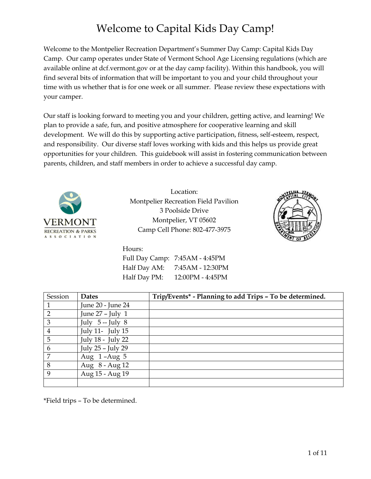# Welcome to Capital Kids Day Camp!

Welcome to the Montpelier Recreation Department's Summer Day Camp: Capital Kids Day Camp. Our camp operates under State of Vermont School Age Licensing regulations (which are available online at dcf.vermont.gov or at the day camp facility). Within this handbook, you will find several bits of information that will be important to you and your child throughout your time with us whether that is for one week or all summer. Please review these expectations with your camper.

Our staff is looking forward to meeting you and your children, getting active, and learning! We plan to provide a safe, fun, and positive atmosphere for cooperative learning and skill development. We will do this by supporting active participation, fitness, self-esteem, respect, and responsibility. Our diverse staff loves working with kids and this helps us provide great opportunities for your children. This guidebook will assist in fostering communication between parents, children, and staff members in order to achieve a successful day camp.



Location: Montpelier Recreation Field Pavilion 3 Poolside Drive Montpelier, VT 05602 Camp Cell Phone: 802-477-3975

Hours:

Full Day Camp: 7:45AM - 4:45PM Half Day AM: 7:45AM - 12:30PM Half Day PM: 12:00PM - 4:45PM



| Session     | <b>Dates</b>       | Trip/Events* - Planning to add Trips - To be determined. |
|-------------|--------------------|----------------------------------------------------------|
|             | June 20 - June 24  |                                                          |
| 2           | June $27$ – July 1 |                                                          |
| 3           | July $5$ -- July 8 |                                                          |
| 4           | July 11- July 15   |                                                          |
| 5           | July 18 - July 22  |                                                          |
| 6           | July 25 - July 29  |                                                          |
| 7           | Aug $1 - Aug 5$    |                                                          |
| 8           | Aug 8 - Aug 12     |                                                          |
| $\mathbf Q$ | Aug 15 - Aug 19    |                                                          |
|             |                    |                                                          |

\*Field trips – To be determined.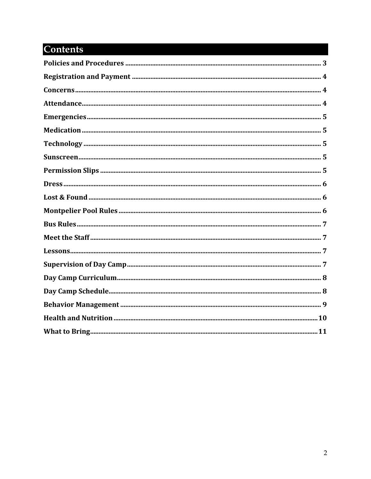# **Contents**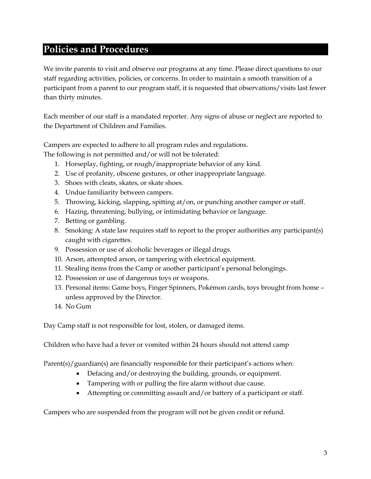# <span id="page-2-0"></span>**Policies and Procedures**

We invite parents to visit and observe our programs at any time. Please direct questions to our staff regarding activities, policies, or concerns. In order to maintain a smooth transition of a participant from a parent to our program staff, it is requested that observations/visits last fewer than thirty minutes.

Each member of our staff is a mandated reporter. Any signs of abuse or neglect are reported to the Department of Children and Families.

Campers are expected to adhere to all program rules and regulations.

The following is not permitted and/or will not be tolerated:

- 1. Horseplay, fighting, or rough/inappropriate behavior of any kind.
- 2. Use of profanity, obscene gestures, or other inappropriate language.
- 3. Shoes with cleats, skates, or skate shoes.
- 4. Undue familiarity between campers.
- 5. Throwing, kicking, slapping, spitting at/on, or punching another camper or staff.
- 6. Hazing, threatening, bullying, or intimidating behavior or language.
- 7. Betting or gambling.
- 8. Smoking: A state law requires staff to report to the proper authorities any participant(s) caught with cigarettes.
- 9. Possession or use of alcoholic beverages or illegal drugs.
- 10. Arson, attempted arson, or tampering with electrical equipment.
- 11. Stealing items from the Camp or another participant's personal belongings.
- 12. Possession or use of dangerous toys or weapons.
- 13. Personal items: Game boys, Finger Spinners, Pokémon cards, toys brought from home unless approved by the Director.
- 14. No Gum

Day Camp staff is not responsible for lost, stolen, or damaged items.

Children who have had a fever or vomited within 24 hours should not attend camp

Parent $(s)/g$ uardian $(s)$  are financially responsible for their participant's actions when:

- Defacing and/or destroying the building, grounds, or equipment.
- Tampering with or pulling the fire alarm without due cause.
- Attempting or committing assault and/or battery of a participant or staff.

Campers who are suspended from the program will not be given credit or refund.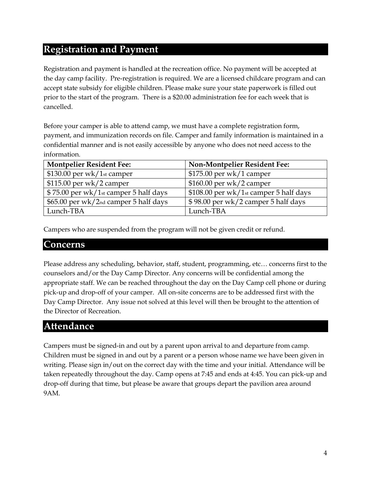## <span id="page-3-0"></span>**Registration and Payment**

Registration and payment is handled at the recreation office. No payment will be accepted at the day camp facility. Pre-registration is required. We are a licensed childcare program and can accept state subsidy for eligible children. Please make sure your state paperwork is filled out prior to the start of the program. There is a \$20.00 administration fee for each week that is cancelled.

Before your camper is able to attend camp, we must have a complete registration form, payment, and immunization records on file. Camper and family information is maintained in a confidential manner and is not easily accessible by anyone who does not need access to the information.

| <b>Montpelier Resident Fee:</b>       | Non-Montpelier Resident Fee:           |  |  |
|---------------------------------------|----------------------------------------|--|--|
| $$130.00$ per wk/1st camper           | $$175.00$ per wk/1 camper              |  |  |
| $$115.00$ per wk/2 camper             | $$160.00$ per wk/2 camper              |  |  |
| \$75.00 per wk/1st camper 5 half days | \$108.00 per wk/1st camper 5 half days |  |  |
| \$65.00 per wk/2nd camper 5 half days | \$98.00 per wk/2 camper 5 half days    |  |  |
| Lunch-TBA                             | Lunch-TBA                              |  |  |

Campers who are suspended from the program will not be given credit or refund.

#### <span id="page-3-1"></span>**Concerns**

Please address any scheduling, behavior, staff, student, programming, etc… concerns first to the counselors and/or the Day Camp Director. Any concerns will be confidential among the appropriate staff. We can be reached throughout the day on the Day Camp cell phone or during pick-up and drop-off of your camper. All on-site concerns are to be addressed first with the Day Camp Director. Any issue not solved at this level will then be brought to the attention of the Director of Recreation.

## <span id="page-3-2"></span>**Attendance**

Campers must be signed-in and out by a parent upon arrival to and departure from camp. Children must be signed in and out by a parent or a person whose name we have been given in writing. Please sign in/out on the correct day with the time and your initial. Attendance will be taken repeatedly throughout the day. Camp opens at 7:45 and ends at 4:45. You can pick-up and drop-off during that time, but please be aware that groups depart the pavilion area around 9AM.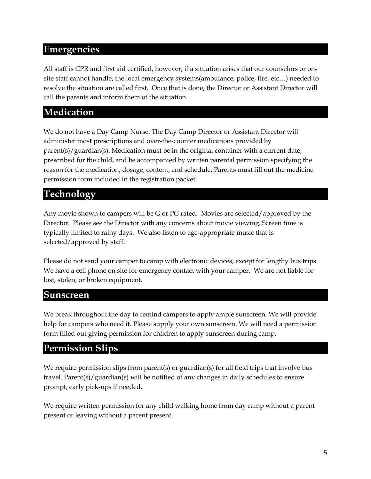#### <span id="page-4-0"></span>**Emergencies**

All staff is CPR and first aid certified, however, if a situation arises that our counselors or onsite staff cannot handle, the local emergency systems(ambulance, police, fire, etc…) needed to resolve the situation are called first. Once that is done, the Director or Assistant Director will call the parents and inform them of the situation.

### <span id="page-4-1"></span>**Medication**

We do not have a Day Camp Nurse. The Day Camp Director or Assistant Director will administer most prescriptions and over-the-counter medications provided by  $parent(s)/quantian(s)$ . Medication must be in the original container with a current date, prescribed for the child, and be accompanied by written parental permission specifying the reason for the medication, dosage, content, and schedule. Parents must fill out the medicine permission form included in the registration packet.

## <span id="page-4-2"></span>**Technology**

Any movie shown to campers will be G or PG rated. Movies are selected/approved by the Director. Please see the Director with any concerns about movie viewing. Screen time is typically limited to rainy days. We also listen to age-appropriate music that is selected/approved by staff.

Please do not send your camper to camp with electronic devices, except for lengthy bus trips. We have a cell phone on site for emergency contact with your camper. We are not liable for lost, stolen, or broken equipment.

## <span id="page-4-3"></span>**Sunscreen**

We break throughout the day to remind campers to apply ample sunscreen. We will provide help for campers who need it. Please supply your own sunscreen. We will need a permission form filled out giving permission for children to apply sunscreen during camp.

### <span id="page-4-4"></span>**Permission Slips**

We require permission slips from parent(s) or guardian(s) for all field trips that involve bus travel. Parent(s)/guardian(s) will be notified of any changes in daily schedules to ensure prompt, early pick-ups if needed.

We require written permission for any child walking home from day camp without a parent present or leaving without a parent present.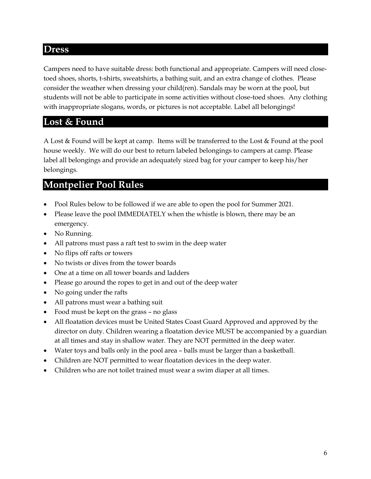#### <span id="page-5-0"></span>**Dress**

Campers need to have suitable dress: both functional and appropriate. Campers will need closetoed shoes, shorts, t-shirts, sweatshirts, a bathing suit, and an extra change of clothes. Please consider the weather when dressing your child(ren). Sandals may be worn at the pool, but students will not be able to participate in some activities without close-toed shoes. Any clothing with inappropriate slogans, words, or pictures is not acceptable. Label all belongings!

#### <span id="page-5-1"></span>**Lost & Found**

A Lost & Found will be kept at camp. Items will be transferred to the Lost & Found at the pool house weekly. We will do our best to return labeled belongings to campers at camp. Please label all belongings and provide an adequately sized bag for your camper to keep his/her belongings.

## <span id="page-5-2"></span>**Montpelier Pool Rules**

- Pool Rules below to be followed if we are able to open the pool for Summer 2021.
- Please leave the pool IMMEDIATELY when the whistle is blown, there may be an emergency.
- No Running.
- All patrons must pass a raft test to swim in the deep water
- No flips off rafts or towers
- No twists or dives from the tower boards
- One at a time on all tower boards and ladders
- Please go around the ropes to get in and out of the deep water
- No going under the rafts
- All patrons must wear a bathing suit
- Food must be kept on the grass no glass
- All floatation devices must be United States Coast Guard Approved and approved by the director on duty. Children wearing a floatation device MUST be accompanied by a guardian at all times and stay in shallow water. They are NOT permitted in the deep water.
- Water toys and balls only in the pool area balls must be larger than a basketball.
- Children are NOT permitted to wear floatation devices in the deep water.
- Children who are not toilet trained must wear a swim diaper at all times.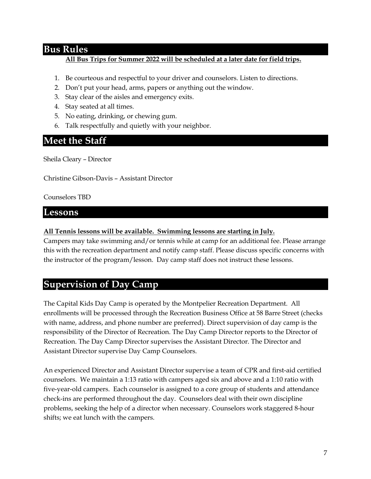#### <span id="page-6-0"></span>**Bus Rules**

**All Bus Trips for Summer 2022 will be scheduled at a later date for field trips.**

- 1. Be courteous and respectful to your driver and counselors. Listen to directions.
- 2. Don't put your head, arms, papers or anything out the window.
- 3. Stay clear of the aisles and emergency exits.
- 4. Stay seated at all times.
- 5. No eating, drinking, or chewing gum.
- 6. Talk respectfully and quietly with your neighbor.

## <span id="page-6-1"></span>**Meet the Staff**

Sheila Cleary – Director

Christine Gibson-Davis – Assistant Director

#### Counselors TBD

#### <span id="page-6-2"></span>**Lessons**

#### **All Tennis lessons will be available. Swimming lessons are starting in July.**

Campers may take swimming and/or tennis while at camp for an additional fee. Please arrange this with the recreation department and notify camp staff. Please discuss specific concerns with the instructor of the program/lesson. Day camp staff does not instruct these lessons.

### <span id="page-6-3"></span>**Supervision of Day Camp**

The Capital Kids Day Camp is operated by the Montpelier Recreation Department. All enrollments will be processed through the Recreation Business Office at 58 Barre Street (checks with name, address, and phone number are preferred). Direct supervision of day camp is the responsibility of the Director of Recreation. The Day Camp Director reports to the Director of Recreation. The Day Camp Director supervises the Assistant Director. The Director and Assistant Director supervise Day Camp Counselors.

An experienced Director and Assistant Director supervise a team of CPR and first-aid certified counselors. We maintain a 1:13 ratio with campers aged six and above and a 1:10 ratio with five-year-old campers. Each counselor is assigned to a core group of students and attendance check-ins are performed throughout the day. Counselors deal with their own discipline problems, seeking the help of a director when necessary. Counselors work staggered 8-hour shifts; we eat lunch with the campers.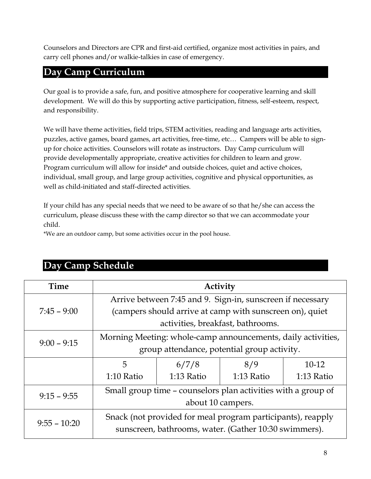Counselors and Directors are CPR and first-aid certified, organize most activities in pairs, and carry cell phones and/or walkie-talkies in case of emergency.

# <span id="page-7-0"></span>**Day Camp Curriculum**

Our goal is to provide a safe, fun, and positive atmosphere for cooperative learning and skill development. We will do this by supporting active participation, fitness, self-esteem, respect, and responsibility.

We will have theme activities, field trips, STEM activities, reading and language arts activities, puzzles, active games, board games, art activities, free-time, etc… Campers will be able to signup for choice activities. Counselors will rotate as instructors. Day Camp curriculum will provide developmentally appropriate, creative activities for children to learn and grow. Program curriculum will allow for inside\* and outside choices, quiet and active choices, individual, small group, and large group activities, cognitive and physical opportunities, as well as child-initiated and staff-directed activities.

If your child has any special needs that we need to be aware of so that he/she can access the curriculum, please discuss these with the camp director so that we can accommodate your child.

\*We are an outdoor camp, but some activities occur in the pool house.

| Time           | Activity                                                                                                             |            |            |            |  |
|----------------|----------------------------------------------------------------------------------------------------------------------|------------|------------|------------|--|
|                | Arrive between 7:45 and 9. Sign-in, sunscreen if necessary                                                           |            |            |            |  |
| $7:45 - 9:00$  | (campers should arrive at camp with sunscreen on), quiet                                                             |            |            |            |  |
|                | activities, breakfast, bathrooms.                                                                                    |            |            |            |  |
|                | Morning Meeting: whole-camp announcements, daily activities,                                                         |            |            |            |  |
| $9:00 - 9:15$  | group attendance, potential group activity.                                                                          |            |            |            |  |
|                | 5                                                                                                                    | 6/7/8      | 8/9        | 10-12      |  |
|                | 1:10 Ratio                                                                                                           | 1:13 Ratio | 1:13 Ratio | 1:13 Ratio |  |
| $9:15 - 9:55$  | Small group time - counselors plan activities with a group of                                                        |            |            |            |  |
|                | about 10 campers.                                                                                                    |            |            |            |  |
| $9:55 - 10:20$ | Snack (not provided for meal program participants), reapply<br>sunscreen, bathrooms, water. (Gather 10:30 swimmers). |            |            |            |  |

# <span id="page-7-1"></span>**Day Camp Schedule**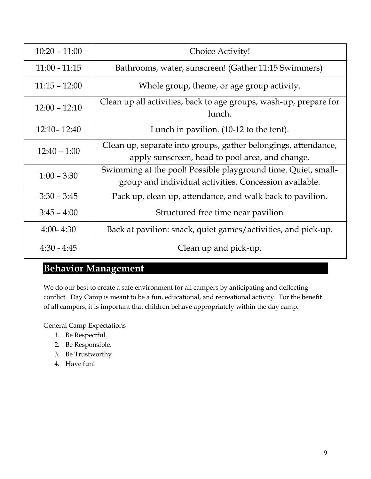| $10:20 - 11:00$                                            | Choice Activity!                                                                                                        |  |  |
|------------------------------------------------------------|-------------------------------------------------------------------------------------------------------------------------|--|--|
| $11:00 - 11:15$                                            | Bathrooms, water, sunscreen! (Gather 11:15 Swimmers)                                                                    |  |  |
| $11:15 - 12:00$                                            | Whole group, theme, or age group activity.                                                                              |  |  |
| $12:00 - 12:10$                                            | Clean up all activities, back to age groups, wash-up, prepare for<br>lunch.                                             |  |  |
| $12:10 - 12:40$<br>Lunch in pavilion. (10-12 to the tent). |                                                                                                                         |  |  |
| $12:40 - 1:00$                                             | Clean up, separate into groups, gather belongings, attendance,<br>apply sunscreen, head to pool area, and change.       |  |  |
| $1:00 - 3:30$                                              | Swimming at the pool! Possible playground time. Quiet, small-<br>group and individual activities. Concession available. |  |  |
| $3:30 - 3:45$                                              | Pack up, clean up, attendance, and walk back to pavilion.                                                               |  |  |
| $3:45 - 4:00$                                              | Structured free time near pavilion                                                                                      |  |  |
| $4:00 - 4:30$                                              | Back at pavilion: snack, quiet games/activities, and pick-up.                                                           |  |  |
| $4:30 - 4:45$                                              | Clean up and pick-up.                                                                                                   |  |  |

# <span id="page-8-0"></span>**Behavior Management**

We do our best to create a safe environment for all campers by anticipating and deflecting conflict. Day Camp is meant to be a fun, educational, and recreational activity. For the benefit of all campers, it is important that children behave appropriately within the day camp.

General Camp Expectations

- 1. Be Respectful.
- 2. Be Responsible.
- 3. Be Trustworthy
- 4. Have fun!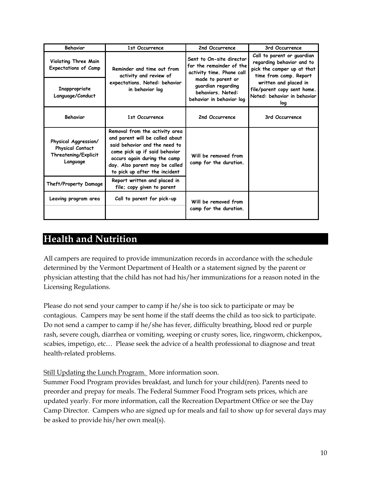| Behavior                                                                     | 1st Occurrence                                                                                                                                                                                                                         | 2nd Occurrence                                                                                                                                                                | 3rd Occurrence                                                                                                                                                                                                |
|------------------------------------------------------------------------------|----------------------------------------------------------------------------------------------------------------------------------------------------------------------------------------------------------------------------------------|-------------------------------------------------------------------------------------------------------------------------------------------------------------------------------|---------------------------------------------------------------------------------------------------------------------------------------------------------------------------------------------------------------|
| <b>Violating Three Main</b><br><b>Expectations of Camp</b>                   | Reminder and time out from<br>activity and review of                                                                                                                                                                                   | Sent to On-site director<br>for the remainder of the<br>activity time. Phone call<br>made to parent or<br>guardian regarding<br>behaviors. Noted:<br>behavior in behavior log | Call to parent or guardian<br>regarding behavior and to<br>pick the camper up at that<br>time from camp. Report<br>written and placed in<br>file/parent copy sent home.<br>Noted: behavior in behavior<br>log |
| Inappropriate<br>Language/Conduct                                            | expectations. Noted: behavior<br>in behavior log                                                                                                                                                                                       |                                                                                                                                                                               |                                                                                                                                                                                                               |
| Behavior                                                                     | 1st Occurrence                                                                                                                                                                                                                         | 2nd Occurrence                                                                                                                                                                | 3rd Occurrence                                                                                                                                                                                                |
| Physical Aggression/<br>Physical Contact<br>Threatening/Explicit<br>Language | Removal from the activity area<br>and parent will be called about<br>said behavior and the need to<br>come pick up if said behavior<br>occurs again during the camp<br>day. Also parent may be called<br>to pick up after the incident | Will be removed from<br>camp for the duration.                                                                                                                                |                                                                                                                                                                                                               |
| Theft/Property Damage                                                        | Report written and placed in<br>file; copy given to parent                                                                                                                                                                             |                                                                                                                                                                               |                                                                                                                                                                                                               |
| Leaving program area                                                         | Call to parent for pick-up                                                                                                                                                                                                             | Will be removed from<br>camp for the duration.                                                                                                                                |                                                                                                                                                                                                               |

# <span id="page-9-0"></span>**Health and Nutrition**

All campers are required to provide immunization records in accordance with the schedule determined by the Vermont Department of Health or a statement signed by the parent or physician attesting that the child has not had his/her immunizations for a reason noted in the Licensing Regulations.

Please do not send your camper to camp if he/she is too sick to participate or may be contagious. Campers may be sent home if the staff deems the child as too sick to participate. Do not send a camper to camp if he/she has fever, difficulty breathing, blood red or purple rash, severe cough, diarrhea or vomiting, weeping or crusty sores, lice, ringworm, chickenpox, scabies, impetigo, etc… Please seek the advice of a health professional to diagnose and treat health-related problems.

Still Updating the Lunch Program. More information soon.

Summer Food Program provides breakfast, and lunch for your child(ren). Parents need to preorder and prepay for meals. The Federal Summer Food Program sets prices, which are updated yearly. For more information, call the Recreation Department Office or see the Day Camp Director. Campers who are signed up for meals and fail to show up for several days may be asked to provide his/her own meal(s).